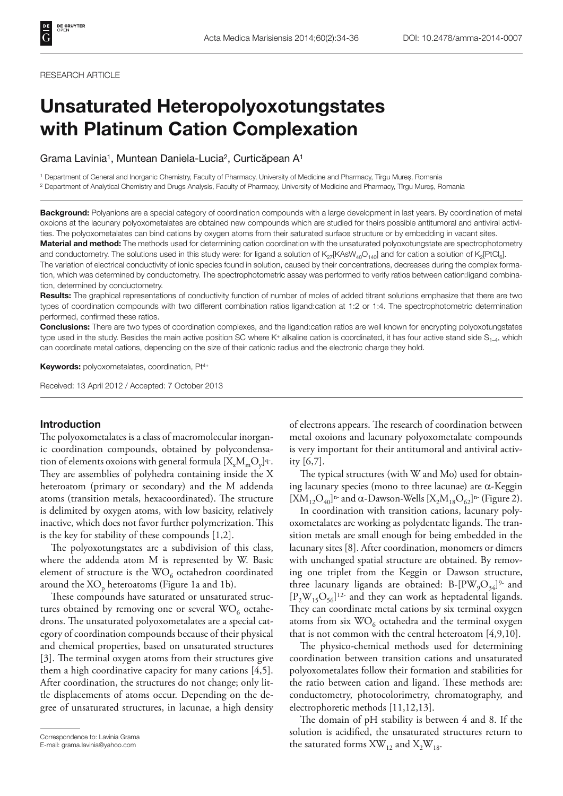#### RESEARCH ARTICLE

# **Unsaturated Heteropolyoxotungstates with Platinum Cation Complexation**

Grama Lavinia1, Muntean Daniela-Lucia2, Curticăpean A1

1 Department of General and Inorganic Chemistry, Faculty of Pharmacy, University of Medicine and Pharmacy, Tîrgu Mureș, Romania 2 Department of Analytical Chemistry and Drugs Analysis, Faculty of Pharmacy, University of Medicine and Pharmacy, Tîrgu Mureș, Romania

**Background:** Polyanions are a special category of coordination compounds with a large development in last years. By coordination of metal oxoions at the lacunary polyoxometalates are obtained new compounds which are studied for theirs possible antitumoral and antiviral activities. The polyoxometalates can bind cations by oxygen atoms from their saturated surface structure or by embedding in vacant sites.

**Material and method:** The methods used for determining cation coordination with the unsaturated polyoxotungstate are spectrophotometry and conductometry. The solutions used in this study were: for ligand a solution of  $K_{27}$ [KAsW<sub>40</sub>O<sub>140</sub>] and for cation a solution of K<sub>2</sub>[PtCl<sub>6</sub>].

The variation of electrical conductivity of ionic species found in solution, caused by their concentrations, decreases during the complex formation, which was determined by conductometry. The spectrophotometric assay was performed to verify ratios between cation:ligand combination, determined by conductometry.

**Results:** The graphical representations of conductivity function of number of moles of added titrant solutions emphasize that there are two types of coordination compounds with two different combination ratios ligand:cation at 1:2 or 1:4. The spectrophotometric determination performed, confirmed these ratios.

**Conclusions:** There are two types of coordination complexes, and the ligand:cation ratios are well known for encrypting polyoxotungstates type used in the study. Besides the main active position SC where K+ alkaline cation is coordinated, it has four active stand side  $S_{1,4}$ , which can coordinate metal cations, depending on the size of their cationic radius and the electronic charge they hold.

**Keywords:** polyoxometalates, coordination, Pt4+

Received: 13 April 2012 / Accepted: 7 October 2013

#### **Introduction**

The polyoxometalates is a class of macromolecular inorganic coordination compounds, obtained by polycondensation of elements oxoions with general formula  $[X_{\nu},M_{\nu},O_{\nu}]^q$ . They are assemblies of polyhedra containing inside the X heteroatom (primary or secondary) and the M addenda atoms (transition metals, hexacoordinated). The structure is delimited by oxygen atoms, with low basicity, relatively inactive, which does not favor further polymerization. This is the key for stability of these compounds [1,2].

The polyoxotungstates are a subdivision of this class, where the addenda atom M is represented by W. Basic element of structure is the  $WO<sub>6</sub>$  octahedron coordinated around the  $XO_p$  heteroatoms (Figure 1a and 1b).

These compounds have saturated or unsaturated structures obtained by removing one or several  $WO<sub>6</sub>$  octahedrons. The unsaturated polyoxometalates are a special category of coordination compounds because of their physical and chemical properties, based on unsaturated structures [3]. The terminal oxygen atoms from their structures give them a high coordinative capacity for many cations [4,5]. After coordination, the structures do not change; only little displacements of atoms occur. Depending on the degree of unsaturated structures, in lacunae, a high density of electrons appears. The research of coordination between metal oxoions and lacunary polyoxometalate compounds is very important for their antitumoral and antiviral activity [6,7].

The typical structures (with W and Mo) used for obtaining lacunary species (mono to three lacunae) are  $\alpha$ -Keggin  $[XM_{12}O_{40}]^{n}$ - and  $\alpha$ -Dawson-Wells  $[X_2M_{18}O_{62}]^{n}$ - (Figure 2).

In coordination with transition cations, lacunary polyoxometalates are working as polydentate ligands. The transition metals are small enough for being embedded in the lacunary sites [8]. After coordination, monomers or dimers with unchanged spatial structure are obtained. By removing one triplet from the Keggin or Dawson structure, three lacunary ligands are obtained: B- $[PW_9O_{34}]^{9}$ - and  $[P_2W_{15}O_{56}]^{12}$  and they can work as heptadental ligands. They can coordinate metal cations by six terminal oxygen atoms from six  $WO<sub>6</sub>$  octahedra and the terminal oxygen that is not common with the central heteroatom [4,9,10].

The physico-chemical methods used for determining coordination between transition cations and unsaturated polyoxometalates follow their formation and stabilities for the ratio between cation and ligand. These methods are: conductometry, photocolorimetry, chromatography, and electrophoretic methods [11,12,13].

The domain of pH stability is between  $4$  and  $8$ . If the solution is acidified, the unsaturated structures return to Correspondence to: Lavinia Grama<br>
E-mail: grama.lavinia@yahoo.com **the saturated forms XW<sub>12</sub> and X<sub>2</sub>W<sub>18</sub>.** 

E-mail: grama.lavinia@yahoo.com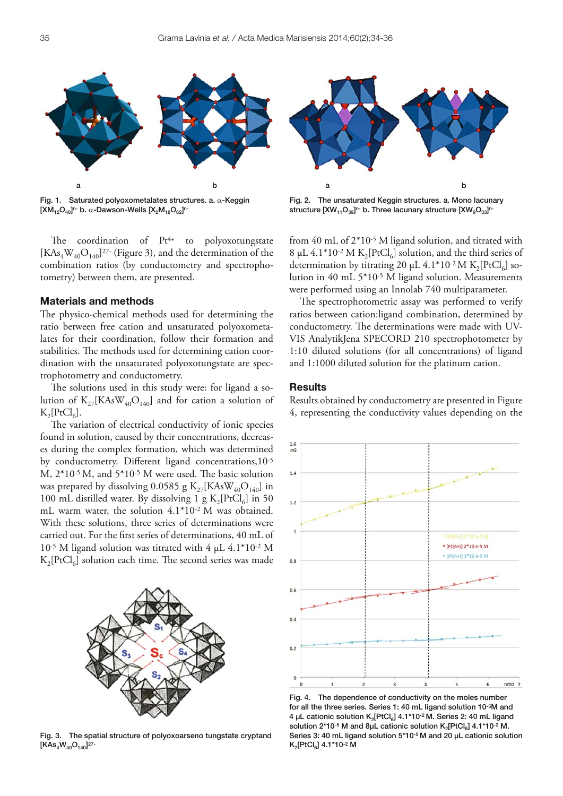

Fig. 1. Saturated polyoxometalates structures. a.  $\alpha$ -Keggin  $[XM_{12}O_{40}]^{n}$ - b.  $\alpha$ -Dawson-Wells  $[X_2M_{18}O_{62}]^{n}$ 

The coordination of  $Pt^{4+}$  to polyoxotungstate  $[KAs<sub>4</sub>W<sub>40</sub>O<sub>140</sub>]$ <sup>27-</sup> (Figure 3), and the determination of the combination ratios (by conductometry and spectrophotometry) between them, are presented.

# **Materials and methods**

The physico-chemical methods used for determining the ratio between free cation and unsaturated polyoxometalates for their coordination, follow their formation and stabilities. The methods used for determining cation coordination with the unsaturated polyoxotungstate are spectrophotometry and conductometry.

The solutions used in this study were: for ligand a solution of  $K_{27}$ [KAsW<sub>40</sub>O<sub>140</sub>] and for cation a solution of  $K_2[PtCl_6]$ .

The variation of electrical conductivity of ionic species found in solution, caused by their concentrations, decreases during the complex formation, which was determined by conductometry. Different ligand concentrations, 10-5 M,  $2*10-5$  M, and  $5*10-5$  M were used. The basic solution was prepared by dissolving 0.0585 g  $K_{27}$ [KAsW<sub>40</sub>O<sub>140</sub>] in 100 mL distilled water. By dissolving 1 g  $K_2[PtCl_6]$  in 50 mL warm water, the solution 4.1\*10-2 M was obtained. With these solutions, three series of determinations were carried out. For the first series of determinations, 40 mL of 10-5 M ligand solution was titrated with 4 μL 4.1\*10-2 M  $K_2[PtCl_6]$  solution each time. The second series was made



Fig. 3. The spatial structure of polyoxoarseno tungstate cryptand  $[KAs<sub>4</sub>W<sub>40</sub>O<sub>140</sub>]^{27}$ 



Fig. 2. The unsaturated Keggin structures. a. Mono lacunary structure  $[XW_{11}O_{39}]^{n}$ - b. Three lacunary structure  $[XW_{9}O_{33}]^{n}$ -

from 40 mL of 2\*10-5 M ligand solution, and titrated with 8 μL 4.1\*10<sup>-2</sup> M K<sub>2</sub>[PtCl<sub>6</sub>] solution, and the third series of determination by titrating 20  $\mu$ L 4.1\*10<sup>-2</sup> M K<sub>2</sub>[PtCl<sub>6</sub>] solution in 40 mL 5\*10-5 M ligand solution. Measurements were performed using an Innolab 740 multiparameter.

The spectrophotometric assay was performed to verify ratios between cation:ligand combination, determined by conductometry. The determinations were made with UV-VIS AnalytikJena SPECORD 210 spectrophotometer by 1:10 diluted solutions (for all concentrations) of ligand and 1:1000 diluted solution for the platinum cation.

### **Results**

Results obtained by conductometry are presented in Figure 4, representing the conductivity values depending on the



Fig. 4. The dependence of conductivity on the moles number for all the three series. Series 1: 40 mL ligand solution 10-5M and 4 μL cationic solution K<sub>2</sub>[PtCl<sub>6</sub>] 4.1\*10<sup>-2</sup> M. Series 2: 40 mL ligand solution  $2*10-5$  M and  $8\mu$ L cationic solution  $K_2[PtCl_6]$  4.1\*10-2 M. Series 3: 40 mL ligand solution 5\*10-5 M and 20 μL cationic solution K2[PtCl6] 4.1\*10-2 M